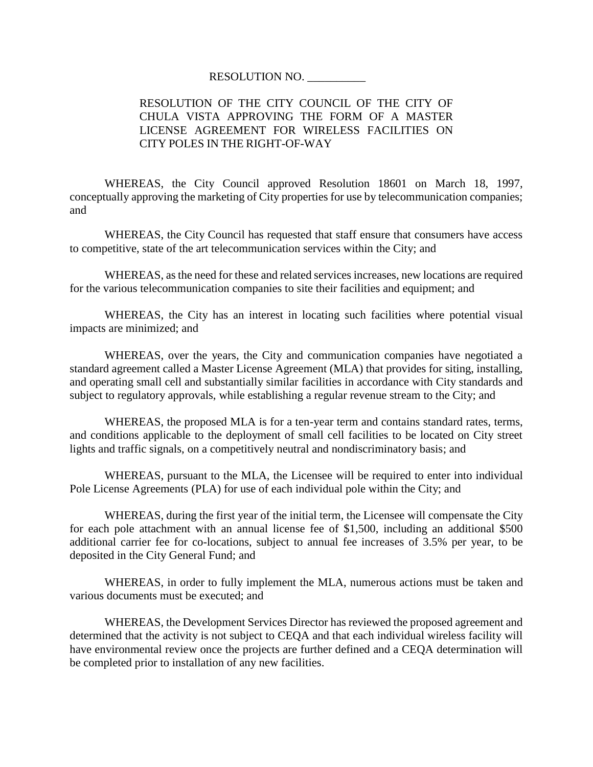## RESOLUTION NO. \_\_\_\_\_\_\_\_\_\_

## RESOLUTION OF THE CITY COUNCIL OF THE CITY OF CHULA VISTA APPROVING THE FORM OF A MASTER LICENSE AGREEMENT FOR WIRELESS FACILITIES ON CITY POLES IN THE RIGHT-OF-WAY

WHEREAS, the City Council approved Resolution 18601 on March 18, 1997, conceptually approving the marketing of City properties for use by telecommunication companies; and

WHEREAS, the City Council has requested that staff ensure that consumers have access to competitive, state of the art telecommunication services within the City; and

WHEREAS, as the need for these and related services increases, new locations are required for the various telecommunication companies to site their facilities and equipment; and

WHEREAS, the City has an interest in locating such facilities where potential visual impacts are minimized; and

WHEREAS, over the years, the City and communication companies have negotiated a standard agreement called a Master License Agreement (MLA) that provides for siting, installing, and operating small cell and substantially similar facilities in accordance with City standards and subject to regulatory approvals, while establishing a regular revenue stream to the City; and

WHEREAS, the proposed MLA is for a ten-year term and contains standard rates, terms, and conditions applicable to the deployment of small cell facilities to be located on City street lights and traffic signals, on a competitively neutral and nondiscriminatory basis; and

WHEREAS, pursuant to the MLA, the Licensee will be required to enter into individual Pole License Agreements (PLA) for use of each individual pole within the City; and

WHEREAS, during the first year of the initial term, the Licensee will compensate the City for each pole attachment with an annual license fee of \$1,500, including an additional \$500 additional carrier fee for co-locations, subject to annual fee increases of 3.5% per year, to be deposited in the City General Fund; and

WHEREAS, in order to fully implement the MLA, numerous actions must be taken and various documents must be executed; and

WHEREAS, the Development Services Director has reviewed the proposed agreement and determined that the activity is not subject to CEQA and that each individual wireless facility will have environmental review once the projects are further defined and a CEQA determination will be completed prior to installation of any new facilities.